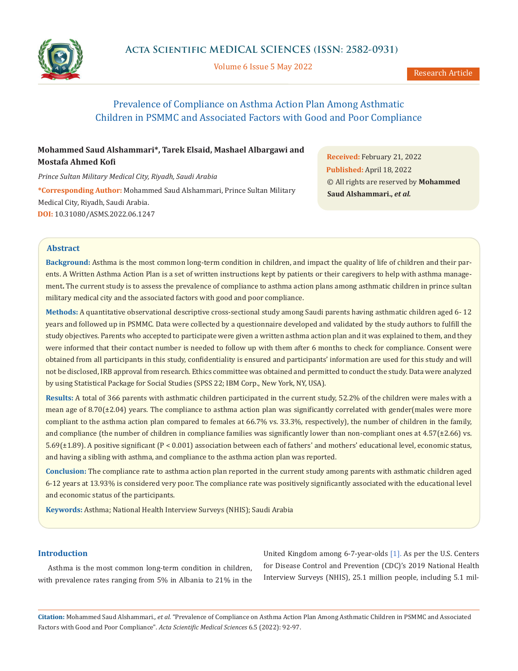

Volume 6 Issue 5 May 2022

# Prevalence of Compliance on Asthma Action Plan Among Asthmatic Children in PSMMC and Associated Factors with Good and Poor Compliance

# **Mohammed Saud Alshammari\*, Tarek Elsaid, Mashael Albargawi and Mostafa Ahmed Kofi**

*Prince Sultan Military Medical City, Riyadh, Saudi Arabia* **\*Corresponding Author:** Mohammed Saud Alshammari, Prince Sultan Military Medical City, Riyadh, Saudi Arabia. **DOI:** [10.31080/ASMS.2022.06.1247](https://actascientific.com/ASMS/pdf/ASMS-06-1247.pdf)

**Received:** February 21, 2022 **Published:** April 18, 2022 © All rights are reserved by **Mohammed Saud Alshammari.,** *et al.*

#### **Abstract**

**Background:** Asthma is the most common long-term condition in children, and impact the quality of life of children and their parents. A Written Asthma Action Plan is a set of written instructions kept by patients or their caregivers to help with asthma management**.** The current study is to assess the prevalence of compliance to asthma action plans among asthmatic children in prince sultan military medical city and the associated factors with good and poor compliance.

**Methods:** A quantitative observational descriptive cross-sectional study among Saudi parents having asthmatic children aged 6- 12 years and followed up in PSMMC. Data were collected by a questionnaire developed and validated by the study authors to fulfill the study objectives. Parents who accepted to participate were given a written asthma action plan and it was explained to them, and they were informed that their contact number is needed to follow up with them after 6 months to check for compliance. Consent were obtained from all participants in this study, confidentiality is ensured and participants' information are used for this study and will not be disclosed, IRB approval from research. Ethics committee was obtained and permitted to conduct the study. Data were analyzed by using Statistical Package for Social Studies (SPSS 22; IBM Corp., New York, NY, USA).

**Results:** A total of 366 parents with asthmatic children participated in the current study, 52.2% of the children were males with a mean age of 8.70( $\pm$ 2.04) years. The compliance to asthma action plan was significantly correlated with gender(males were more compliant to the asthma action plan compared to females at 66.7% vs. 33.3%, respectively), the number of children in the family, and compliance (the number of children in compliance families was significantly lower than non-compliant ones at  $4.57(\pm 2.66)$  vs. 5.69(±1.89). A positive significant (P < 0.001) association between each of fathers' and mothers' educational level, economic status, and having a sibling with asthma, and compliance to the asthma action plan was reported.

**Conclusion:** The compliance rate to asthma action plan reported in the current study among parents with asthmatic children aged 6-12 years at 13.93% is considered very poor. The compliance rate was positively significantly associated with the educational level and economic status of the participants.

**Keywords:** Asthma; National Health Interview Surveys (NHIS); Saudi Arabia

#### **Introduction**

Asthma is the most common long-term condition in children, with prevalence rates ranging from 5% in Albania to 21% in the United Kingdom among 6-7-year-olds [1]. As per the U.S. Centers for Disease Control and Prevention (CDC)'s 2019 National Health Interview Surveys (NHIS), 25.1 million people, including 5.1 mil-

**Citation:** Mohammed Saud Alshammari*., et al.* "Prevalence of Compliance on Asthma Action Plan Among Asthmatic Children in PSMMC and Associated Factors with Good and Poor Compliance". *Acta Scientific Medical Sciences* 6.5 (2022): 92-97.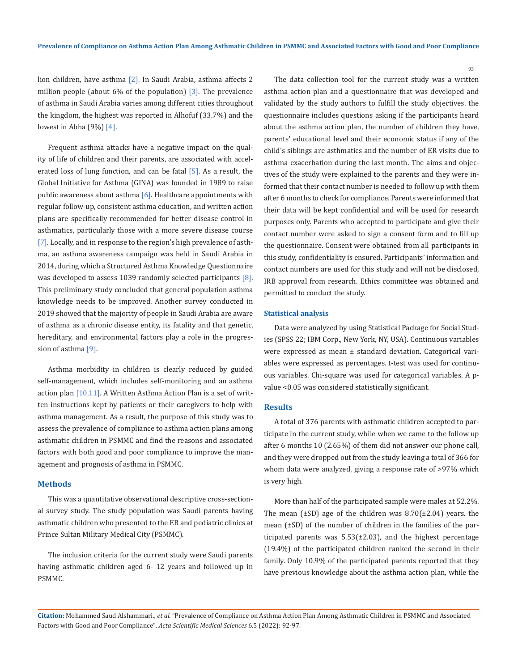lion children, have asthma [2]. In Saudi Arabia, asthma affects 2 million people (about  $6\%$  of the population) [3]. The prevalence of asthma in Saudi Arabia varies among different cities throughout the kingdom, the highest was reported in Alhofuf (33.7%) and the lowest in Abha (9%) [4].

Frequent asthma attacks have a negative impact on the quality of life of children and their parents, are associated with accelerated loss of lung function, and can be fatal  $[5]$ . As a result, the Global Initiative for Asthma (GINA) was founded in 1989 to raise public awareness about asthma [6]. Healthcare appointments with regular follow-up, consistent asthma education, and written action plans are specifically recommended for better disease control in asthmatics, particularly those with a more severe disease course [7]. Locally, and in response to the region's high prevalence of asthma, an asthma awareness campaign was held in Saudi Arabia in 2014, during which a Structured Asthma Knowledge Questionnaire was developed to assess 1039 randomly selected participants  $[8]$ . This preliminary study concluded that general population asthma knowledge needs to be improved. Another survey conducted in 2019 showed that the majority of people in Saudi Arabia are aware of asthma as a chronic disease entity, its fatality and that genetic, hereditary, and environmental factors play a role in the progression of asthma [9].

Asthma morbidity in children is clearly reduced by guided self-management, which includes self-monitoring and an asthma action plan  $[10,11]$ . A Written Asthma Action Plan is a set of written instructions kept by patients or their caregivers to help with asthma management. As a result, the purpose of this study was to assess the prevalence of compliance to asthma action plans among asthmatic children in PSMMC and find the reasons and associated factors with both good and poor compliance to improve the management and prognosis of asthma in PSMMC.

#### **Methods**

This was a quantitative observational descriptive cross-sectional survey study. The study population was Saudi parents having asthmatic children who presented to the ER and pediatric clinics at Prince Sultan Military Medical City (PSMMC).

The inclusion criteria for the current study were Saudi parents having asthmatic children aged 6- 12 years and followed up in PSMMC.

The data collection tool for the current study was a written asthma action plan and a questionnaire that was developed and validated by the study authors to fulfill the study objectives. the questionnaire includes questions asking if the participants heard about the asthma action plan, the number of children they have, parents' educational level and their economic status if any of the child's siblings are asthmatics and the number of ER visits due to asthma exacerbation during the last month. The aims and objectives of the study were explained to the parents and they were informed that their contact number is needed to follow up with them after 6 months to check for compliance. Parents were informed that their data will be kept confidential and will be used for research purposes only. Parents who accepted to participate and give their contact number were asked to sign a consent form and to fill up the questionnaire. Consent were obtained from all participants in this study, confidentiality is ensured. Participants' information and contact numbers are used for this study and will not be disclosed, IRB approval from research. Ethics committee was obtained and permitted to conduct the study.

#### **Statistical analysis**

Data were analyzed by using Statistical Package for Social Studies (SPSS 22; IBM Corp., New York, NY, USA). Continuous variables were expressed as mean ± standard deviation. Categorical variables were expressed as percentages. t-test was used for continuous variables. Chi-square was used for categorical variables. A pvalue <0.05 was considered statistically significant.

#### **Results**

A total of 376 parents with asthmatic children accepted to participate in the current study, while when we came to the follow up after 6 months 10 (2.65%) of them did not answer our phone call, and they were dropped out from the study leaving a total of 366 for whom data were analyzed, giving a response rate of >97% which is very high.

More than half of the participated sample were males at 52.2%. The mean  $(\pm SD)$  age of the children was  $8.70(\pm 2.04)$  years. the mean (±SD) of the number of children in the families of the participated parents was  $5.53(\pm 2.03)$ , and the highest percentage (19.4%) of the participated children ranked the second in their family. Only 10.9% of the participated parents reported that they have previous knowledge about the asthma action plan, while the

**Citation:** Mohammed Saud Alshammari*., et al.* "Prevalence of Compliance on Asthma Action Plan Among Asthmatic Children in PSMMC and Associated Factors with Good and Poor Compliance". *Acta Scientific Medical Sciences* 6.5 (2022): 92-97.

93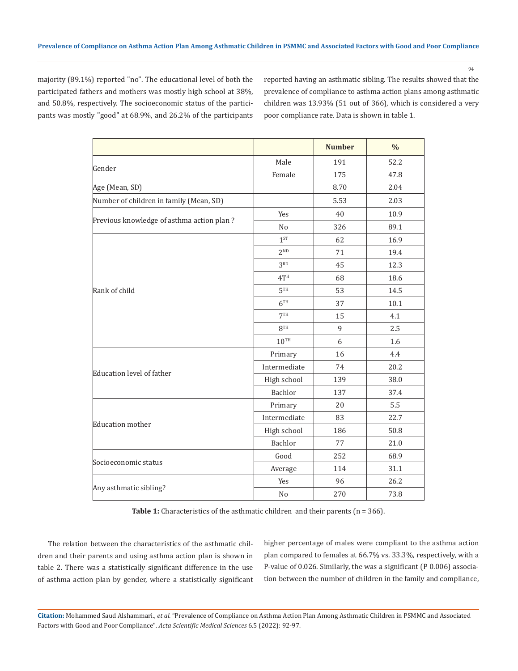majority (89.1%) reported "no". The educational level of both the participated fathers and mothers was mostly high school at 38%, and 50.8%, respectively. The socioeconomic status of the participants was mostly "good" at 68.9%, and 26.2% of the participants reported having an asthmatic sibling. The results showed that the prevalence of compliance to asthma action plans among asthmatic children was 13.93% (51 out of 366), which is considered a very poor compliance rate. Data is shown in table 1.

|                                           |                 | <b>Number</b> | $\frac{0}{0}$ |  |
|-------------------------------------------|-----------------|---------------|---------------|--|
|                                           | Male            | 191           | 52.2          |  |
| Gender                                    | Female          | 175           | 47.8          |  |
| Age (Mean, SD)                            |                 | 8.70          | 2.04          |  |
| Number of children in family (Mean, SD)   |                 | 5.53          | 2.03          |  |
|                                           | Yes             | 40            | 10.9          |  |
| Previous knowledge of asthma action plan? | N <sub>o</sub>  | 326           | 89.1          |  |
| Rank of child                             | $1^{ST}$        | 62            | 16.9          |  |
|                                           | 2 <sub>ND</sub> | 71            | 19.4          |  |
|                                           | 3 <sup>RD</sup> | 45            | 12.3          |  |
|                                           | 4T <sup>H</sup> | 68            | 18.6          |  |
|                                           | 5 <sup>TH</sup> | 53            | 14.5          |  |
|                                           | 6 <sup>TH</sup> | 37            | 10.1          |  |
|                                           | 7 <sup>TH</sup> | 15            | 4.1           |  |
|                                           | 8TH             | 9             | 2.5           |  |
|                                           | $10^{TH}$       | 6             | 1.6           |  |
| Education level of father                 | Primary         | 16            | 4.4           |  |
|                                           | Intermediate    | 74            | 20.2          |  |
|                                           | High school     | 139           | 38.0          |  |
|                                           | Bachlor         | 137           | 37.4          |  |
| <b>Education</b> mother                   | Primary         | 20            | 5.5           |  |
|                                           | Intermediate    | 83            | 22.7          |  |
|                                           | High school     | 186           | 50.8          |  |
|                                           | Bachlor         | 77            | 21.0          |  |
|                                           | Good            | 252           | 68.9          |  |
| Socioeconomic status                      | Average         | 114           | 31.1          |  |
|                                           | Yes             | 96            | 26.2          |  |
| Any asthmatic sibling?                    | No              | 270           | 73.8          |  |

Table 1: Characteristics of the asthmatic children and their parents (n = 366).

The relation between the characteristics of the asthmatic children and their parents and using asthma action plan is shown in table 2. There was a statistically significant difference in the use of asthma action plan by gender, where a statistically significant higher percentage of males were compliant to the asthma action plan compared to females at 66.7% vs. 33.3%, respectively, with a P-value of 0.026. Similarly, the was a significant (P 0.006) association between the number of children in the family and compliance,

**Citation:** Mohammed Saud Alshammari*., et al.* "Prevalence of Compliance on Asthma Action Plan Among Asthmatic Children in PSMMC and Associated Factors with Good and Poor Compliance". *Acta Scientific Medical Sciences* 6.5 (2022): 92-97.

94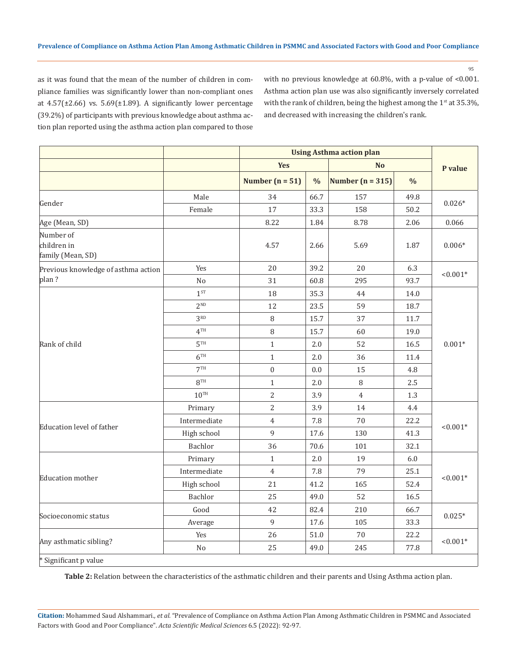95

as it was found that the mean of the number of children in compliance families was significantly lower than non-compliant ones at  $4.57(\pm2.66)$  vs.  $5.69(\pm1.89)$ . A significantly lower percentage (39.2%) of participants with previous knowledge about asthma action plan reported using the asthma action plan compared to those with no previous knowledge at 60.8%, with a p-value of <0.001. Asthma action plan use was also significantly inversely correlated with the rank of children, being the highest among the  $1<sup>st</sup>$  at 35.3%, and decreased with increasing the children's rank.

|                                               |                 |                   | <b>Using Asthma action plan</b> |                    |                |            |
|-----------------------------------------------|-----------------|-------------------|---------------------------------|--------------------|----------------|------------|
|                                               |                 | <b>Yes</b>        |                                 |                    | N <sub>o</sub> |            |
|                                               |                 | Number $(n = 51)$ | $\frac{0}{0}$                   | Number $(n = 315)$ | $\frac{0}{0}$  | P value    |
| Gender                                        | Male            | 34                | 66.7                            | 157                | 49.8           | $0.026*$   |
|                                               | Female          | 17                | 33.3                            | 158                | 50.2           |            |
| Age (Mean, SD)                                |                 | 8.22              | 1.84                            | 8.78               | 2.06           | 0.066      |
| Number of<br>children in<br>family (Mean, SD) |                 | 4.57              | 2.66                            | 5.69               | 1.87           | $0.006*$   |
| Previous knowledge of asthma action<br>plan?  | Yes             | 20                | 39.2                            | 20                 | 6.3            | $< 0.001*$ |
|                                               | No              | 31                | 60.8                            | 295                | 93.7           |            |
| Rank of child                                 | 1 <sup>ST</sup> | 18                | 35.3                            | 44                 | 14.0           | $0.001*$   |
|                                               | 2 <sub>ND</sub> | 12                | 23.5                            | 59                 | 18.7           |            |
|                                               | 3 <sup>RD</sup> | 8                 | 15.7                            | 37                 | 11.7           |            |
|                                               | 4 <sup>TH</sup> | 8                 | 15.7                            | 60                 | 19.0           |            |
|                                               | 5 <sup>TH</sup> | $\mathbf{1}$      | 2.0                             | 52                 | 16.5           |            |
|                                               | 6 <sup>TH</sup> | $\mathbf{1}$      | 2.0                             | 36                 | 11.4           |            |
|                                               | 7 <sup>TH</sup> | $\boldsymbol{0}$  | 0.0                             | 15                 | 4.8            |            |
|                                               | $R^{TH}$        | $\mathbf{1}$      | 2.0                             | 8                  | 2.5            |            |
|                                               | $10^{TH}$       | $\overline{2}$    | 3.9                             | $\overline{4}$     | 1.3            |            |
| Education level of father                     | Primary         | 2                 | 3.9                             | 14                 | 4.4            | $< 0.001*$ |
|                                               | Intermediate    | $\overline{4}$    | 7.8                             | 70                 | 22.2           |            |
|                                               | High school     | 9                 | 17.6                            | 130                | 41.3           |            |
|                                               | Bachlor         | 36                | 70.6                            | 101                | 32.1           |            |
| Education mother                              | Primary         | $\mathbf{1}$      | 2.0                             | 19                 | 6.0            | $< 0.001*$ |
|                                               | Intermediate    | $\overline{4}$    | 7.8                             | 79                 | 25.1           |            |
|                                               | High school     | 21                | 41.2                            | 165                | 52.4           |            |
|                                               | Bachlor         | 25                | 49.0                            | 52                 | 16.5           |            |
| Socioeconomic status                          | Good            | 42                | 82.4                            | 210                | 66.7           | $0.025*$   |
|                                               | Average         | 9                 | 17.6                            | 105                | 33.3           |            |
| Any asthmatic sibling?                        | Yes             | 26                | 51.0                            | 70                 | 22.2           | $< 0.001*$ |
|                                               | N <sub>o</sub>  | 25                | 49.0                            | 245                | 77.8           |            |
| * Significant p value                         |                 |                   |                                 |                    |                |            |

**Table 2:** Relation between the characteristics of the asthmatic children and their parents and Using Asthma action plan.

**Citation:** Mohammed Saud Alshammari*., et al.* "Prevalence of Compliance on Asthma Action Plan Among Asthmatic Children in PSMMC and Associated Factors with Good and Poor Compliance". *Acta Scientific Medical Sciences* 6.5 (2022): 92-97.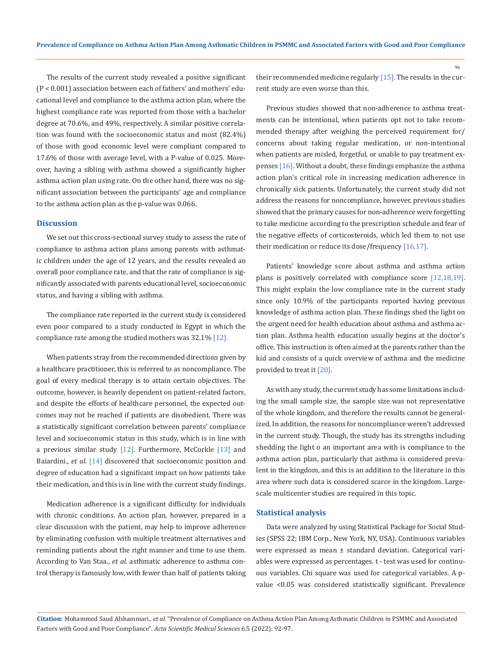The results of the current study revealed a positive significant (P < 0.001) association between each of fathers' and mothers' educational level and compliance to the asthma action plan, where the highest compliance rate was reported from those with a bachelor degree at 70.6%, and 49%, respectively. A similar positive correlation was found with the socioeconomic status and most (82.4%) of those with good economic level were compliant compared to 17.6% of those with average level, with a P-value of 0.025. Moreover, having a sibling with asthma showed a significantly higher asthma action plan using rate. On the other hand, there was no significant association between the participants' age and compliance to the asthma action plan as the p-value was 0.066.

#### **Discussion**

We set out this cross-sectional survey study to assess the rate of compliance to asthma action plans among parents with asthmatic children under the age of 12 years, and the results revealed an overall poor compliance rate, and that the rate of compliance is significantly associated with parents educational level, socioeconomic status, and having a sibling with asthma.

The compliance rate reported in the current study is considered even poor compared to a study conducted in Egypt in which the compliance rate among the studied mothers was 32.1% [12].

When patients stray from the recommended directions given by a healthcare practitioner, this is referred to as noncompliance. The goal of every medical therapy is to attain certain objectives. The outcome, however, is heavily dependent on patient-related factors, and despite the efforts of healthcare personnel, the expected outcomes may not be reached if patients are disobedient. There was a statistically significant correlation between parents' compliance level and socioeconomic status in this study, which is in line with a previous similar study  $[12]$ . Furthermore, McCorkle  $[13]$  and Baiardini., *et al*. [14] discovered that socioeconomic position and degree of education had a significant impact on how patients take their medication, and this is in line with the current study findings.

Medication adherence is a significant difficulty for individuals with chronic conditions. An action plan, however, prepared in a clear discussion with the patient, may help to improve adherence by eliminating confusion with multiple treatment alternatives and reminding patients about the right manner and time to use them. According to Van Staa., *et al*. asthmatic adherence to asthma control therapy is famously low, with fewer than half of patients taking their recommended medicine regularly [15]. The results in the current study are even worse than this.

Previous studies showed that non-adherence to asthma treatments can be intentional, when patients opt not to take recommended therapy after weighing the perceived requirement for/ concerns about taking regular medication, or non-intentional when patients are misled, forgetful, or unable to pay treatment expenses [16]. Without a doubt, these findings emphasize the asthma action plan's critical role in increasing medication adherence in chronically sick patients. Unfortunately, the current study did not address the reasons for noncompliance, however, previous studies showed that the primary causes for non-adherence were forgetting to take medicine according to the prescription schedule and fear of the negative effects of corticosteroids, which led them to not use their medication or reduce its dose/frequency [16,17].

Patients' knowledge score about asthma and asthma action plans is positively correlated with compliance score [12,18,19]. This might explain the low compliance rate in the current study since only 10.9% of the participants reported having previous knowledge of asthma action plan. These findings shed the light on the urgent need for health education about asthma and asthma action plan. Asthma health education usually begins at the doctor's office. This instruction is often aimed at the parents rather than the kid and consists of a quick overview of asthma and the medicine provided to treat it [20].

As with any study, the current study has some limitations including the small sample size, the sample size was not representative of the whole kingdom, and therefore the results cannot be generalized. In addition, the reasons for noncompliance weren't addressed in the current study. Though, the study has its strengths including shedding the light o an important area with is compliance to the asthma action plan, particularly that asthma is considered prevalent in the kingdom, and this is an addition to the literature in this area where such data is considered scarce in the kingdom. Largescale multicenter studies are required in this topic.

### **Statistical analysis**

Data were analyzed by using Statistical Package for Social Studies (SPSS 22; IBM Corp., New York, NY, USA). Continuous variables were expressed as mean ± standard deviation. Categorical variables were expressed as percentages. t - test was used for continuous variables. Chi square was used for categorical variables. A pvalue <0.05 was considered statistically significant. Prevalence

**Citation:** Mohammed Saud Alshammari*., et al.* "Prevalence of Compliance on Asthma Action Plan Among Asthmatic Children in PSMMC and Associated Factors with Good and Poor Compliance". *Acta Scientific Medical Sciences* 6.5 (2022): 92-97.

96